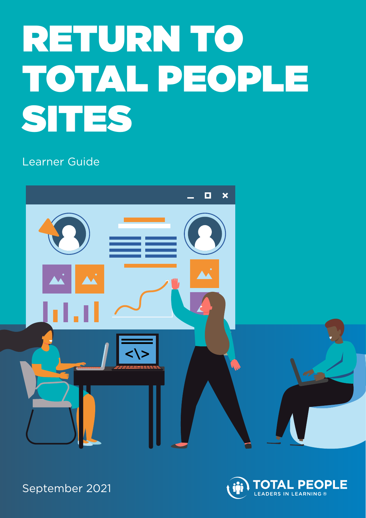# RETURN TO TOTAL PEOPLE SITES

Learner Guide





September 2021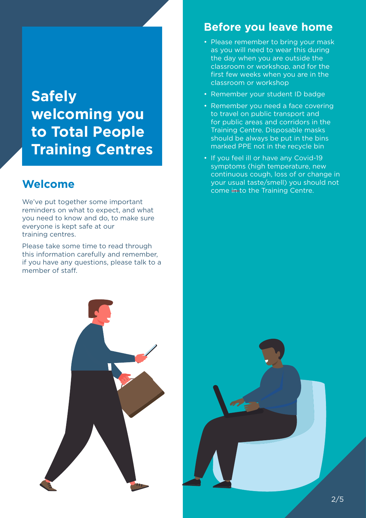# **Safely welcoming you to Total People Training Centres**

# **Welcome**

We've put together some important reminders on what to expect, and what you need to know and do, to make sure everyone is kept safe at our training centres.

Please take some time to read through this information carefully and remember, if you have any questions, please talk to a member of staff.

# **Before you leave home**

- Please remember to bring your mask as you will need to wear this during the day when you are outside the classroom or workshop, and for the first few weeks when you are in the classroom or workshop
- Remember your student ID badge
- Remember you need a face covering to travel on public transport and for public areas and corridors in the Training Centre. Disposable masks should be always be put in the bins marked PPE not in the recycle bin
- If you feel ill or have any Covid-19 symptoms (high temperature, new continuous cough, loss of or change in your usual taste/smell) you should not come in to the Training Centre.

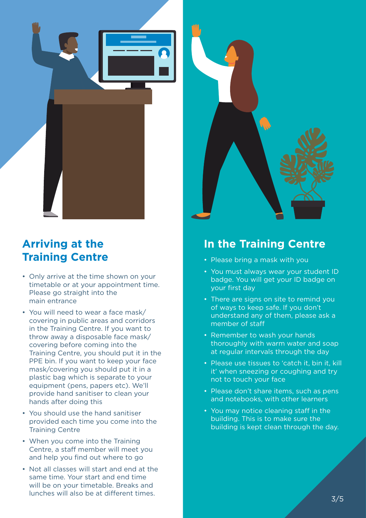



- Only arrive at the time shown on your timetable or at your appointment time. Please go straight into the main entrance
- You will need to wear a face mask/ covering in public areas and corridors in the Training Centre. If you want to throw away a disposable face mask/ covering before coming into the Training Centre, you should put it in the PPE bin. If you want to keep your face mask/covering you should put it in a plastic bag which is separate to your equipment (pens, papers etc). We'll provide hand sanitiser to clean your hands after doing this
- You should use the hand sanitiser provided each time you come into the Training Centre
- When you come into the Training Centre, a staff member will meet you and help you find out where to go
- Not all classes will start and end at the same time. Your start and end time will be on your timetable. Breaks and lunches will also be at different times.



#### **In the Training Centre**

- Please bring a mask with you
- You must always wear your student ID badge. You will get your ID badge on your first day
- There are signs on site to remind you of ways to keep safe. If you don't understand any of them, please ask a member of staff
- Remember to wash your hands thoroughly with warm water and soap at regular intervals through the day
- Please use tissues to 'catch it, bin it, kill it' when sneezing or coughing and try not to touch your face
- Please don't share items, such as pens and notebooks, with other learners
- You may notice cleaning staff in the building. This is to make sure the building is kept clean through the day.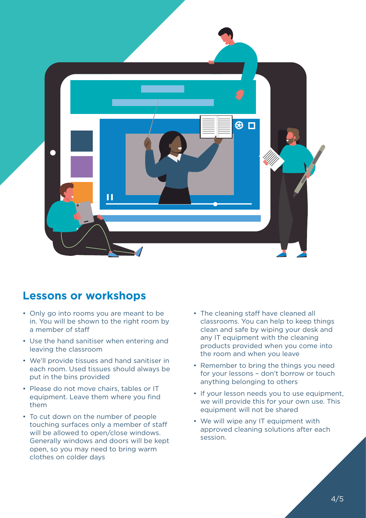

#### **Lessons or workshops**

- Only go into rooms you are meant to be in. You will be shown to the right room by a member of staff
- Use the hand sanitiser when entering and leaving the classroom
- We'll provide tissues and hand sanitiser in each room. Used tissues should always be put in the bins provided
- Please do not move chairs, tables or IT equipment. Leave them where you find them
- To cut down on the number of people touching surfaces only a member of staff will be allowed to open/close windows. Generally windows and doors will be kept open, so you may need to bring warm clothes on colder days
- The cleaning staff have cleaned all classrooms. You can help to keep things clean and safe by wiping your desk and any IT equipment with the cleaning products provided when you come into the room and when you leave
- Remember to bring the things you need for your lessons – don't borrow or touch anything belonging to others
- If your lesson needs you to use equipment, we will provide this for your own use. This equipment will not be shared
- We will wipe any IT equipment with approved cleaning solutions after each session.